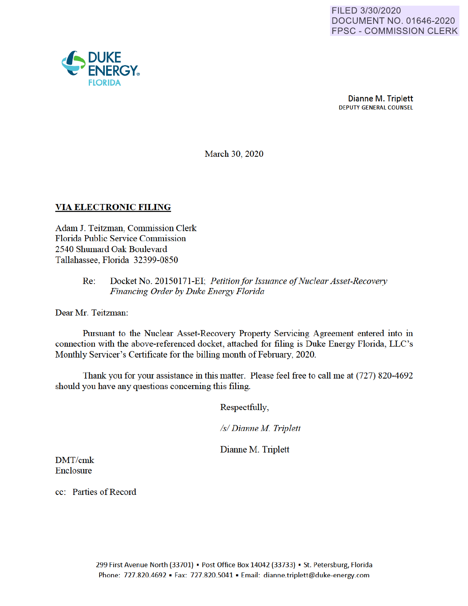

March 30, 2020

## **VIA ELECTRONIC FILING**

Adam J. Teitzman, Commission Clerk Florida Public Service Commission 2540 Shumard Oak Boulevard Tallahassee, Florida 32399-0850

> Re: Docket No. 20150171-EI· *Petition for Issuance of Nuclear Asset-Recovery Financing Order by Duke Energy Florida*

Dear Mr. Teitzman:

Pursuant to the Nuclear Asset-Recovery Property Servicing Agreement entered into in connection with the above-referenced docket, attached for filing is Duke Energy Florida, LLC's Monthly Servicer's Certificate for the billing month of February, 2020.

Thank you for your assistance in this matter. Please feel free to call me at (727) 820-4692 should you have any questions concerning this filing.

Respectfully,

*Isl Dianne M Triplett* 

Dianne M. Triplett

DMT/cmk Enclosure

cc: Parties of Record

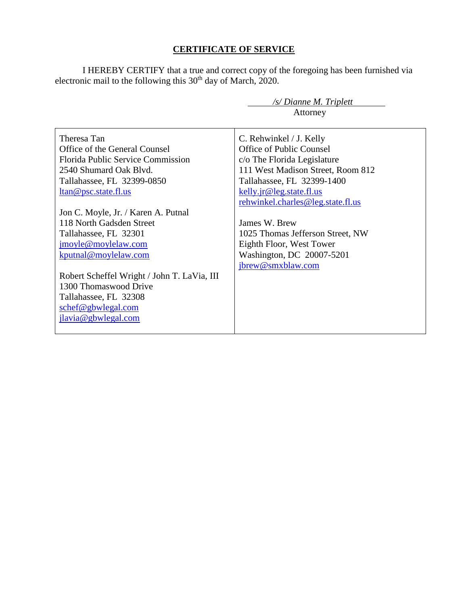## **CERTIFICATE OF SERVICE**

I HEREBY CERTIFY that a true and correct copy of the foregoing has been furnished via electronic mail to the following this 30<sup>th</sup> day of March, 2020.

 */s/ Dianne M. Triplett*

|                                                                                                                                                                                                                                                                                       | Attorney                                                                                                                                                                                                               |
|---------------------------------------------------------------------------------------------------------------------------------------------------------------------------------------------------------------------------------------------------------------------------------------|------------------------------------------------------------------------------------------------------------------------------------------------------------------------------------------------------------------------|
| Theresa Tan<br>Office of the General Counsel<br>Florida Public Service Commission<br>2540 Shumard Oak Blvd.<br>Tallahassee, FL 32399-0850<br>ltan@psc.state.fl.us                                                                                                                     | C. Rehwinkel / J. Kelly<br>Office of Public Counsel<br>c/o The Florida Legislature<br>111 West Madison Street, Room 812<br>Tallahassee, FL 32399-1400<br>kelly.jr@leg.state.fl.us<br>rehwinkel.charles@leg.state.fl.us |
| Jon C. Moyle, Jr. / Karen A. Putnal<br>118 North Gadsden Street<br>Tallahassee, FL 32301<br>jmoyle@moylelaw.com<br>kputnal@moylelaw.com<br>Robert Scheffel Wright / John T. LaVia, III<br>1300 Thomaswood Drive<br>Tallahassee, FL 32308<br>schef@gbwlegal.com<br>jlavia@gbwlegal.com | James W. Brew<br>1025 Thomas Jefferson Street, NW<br>Eighth Floor, West Tower<br>Washington, DC 20007-5201<br>jbrew@smxblaw.com                                                                                        |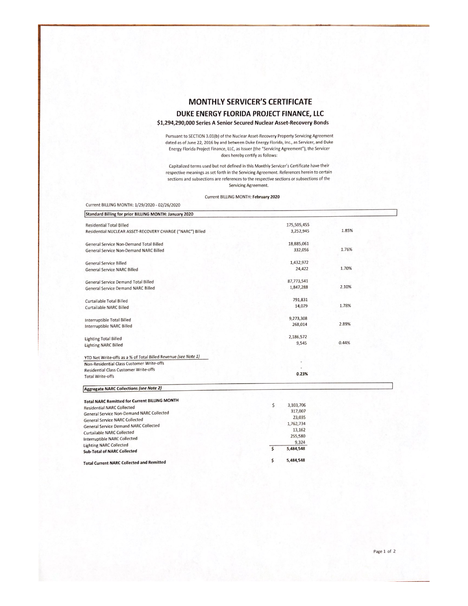## **MONTHLY SERVICER'S CERTIFICATE** DUKE ENERGY FLORIDA PROJECT FINANCE, LLC

## \$1,294,290,000 Series A Senior Secured Nuclear Asset-Recovery Bonds

Pursuant to SECTION 3.01(b) of the Nuclear Asset-Recovery Property Servicing Agreement dated as of June 22, 2016 by and between Duke Energy Florida, Inc., as Servicer, and Duke<br>Energy Florida Project Finance, LLC, as Issuer (the "Servicing Agreement"), the Servicer does hereby certify as follows:

Capitalized terms used but not defined in this Monthly Servicer's Certificate have their respective meanings as set forth in the Servicing Agreement. References herein to certain sections and subsections are references to the respective sections or subsections of the Servicing Agreement.

Current BILLING MONTH: February 2020

| Standard Billing for prior BILLING MONTH: January 2020         |             |       |
|----------------------------------------------------------------|-------------|-------|
| <b>Residential Total Billed</b>                                | 175,505,455 |       |
| Residential NUCLEAR ASSET-RECOVERY CHARGE ("NARC") Billed      | 3,252,945   | 1.85% |
| General Service Non-Demand Total Billed                        | 18,885,061  |       |
| General Service Non-Demand NARC Billed                         | 332,056     | 1.76% |
| <b>General Service Billed</b>                                  | 1,432,972   |       |
| <b>General Service NARC Billed</b>                             | 24,422      | 1.70% |
| <b>General Service Demand Total Billed</b>                     | 87,773,541  |       |
| <b>General Service Demand NARC Billed</b>                      | 1,847,288   | 2.10% |
| Curtailable Total Billed                                       | 791,831     |       |
| <b>Curtailable NARC Billed</b>                                 | 14,079      | 1.78% |
| <b>Interruptible Total Billed</b>                              | 9,273,308   |       |
| <b>Interruptible NARC Billed</b>                               | 268,014     | 2.89% |
| <b>Lighting Total Billed</b>                                   | 2,186,572   |       |
| <b>Lighting NARC Billed</b>                                    | 9,545       | 0.44% |
| YTD Net Write-offs as a % of Total Billed Revenue (see Note 1) |             |       |
| Non-Residential Class Customer Write-offs                      |             |       |
| <b>Residential Class Customer Write-offs</b>                   |             |       |
| <b>Total Write-offs</b>                                        | 0.23%       |       |
| <b>Aggregate NARC Collections (see Note 2)</b>                 |             |       |

| <b>Total Current NARC Collected and Remitted</b> | 5,484,548 |
|--------------------------------------------------|-----------|
| <b>Sub-Total of NARC Collected</b>               | 5,484,548 |
| <b>Lighting NARC Collected</b>                   | 9,324     |
| Interruptible NARC Collected                     | 255,580   |
| <b>Curtailable NARC Collected</b>                | 13,162    |
| <b>General Service Demand NARC Collected</b>     | 1,762,734 |
| <b>General Service NARC Collected</b>            | 23,035    |
| General Service Non-Demand NARC Collected        | 317,007   |
| <b>Residential NARC Collected</b>                |           |